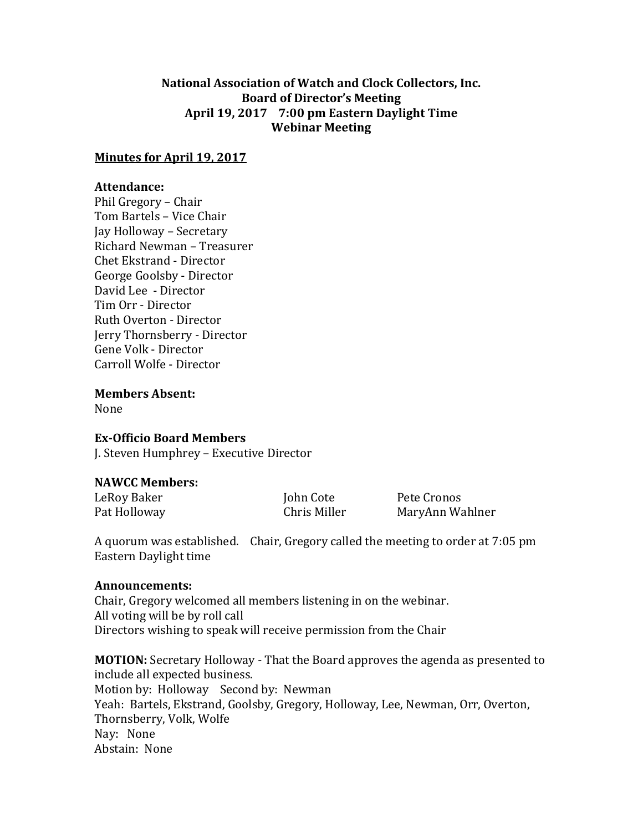# **National Association of Watch and Clock Collectors, Inc. Board of Director's Meeting April 19, 2017 7:00 pm Eastern Daylight Time Webinar Meeting**

### **Minutes for April 19, 2017**

## **Attendance:**

Phil Gregory – Chair Tom Bartels – Vice Chair Jay Holloway – Secretary Richard Newman – Treasurer Chet Ekstrand - Director George Goolsby - Director David Lee - Director Tim Orr - Director Ruth Overton - Director Jerry Thornsberry - Director Gene Volk - Director Carroll Wolfe - Director

**Members Absent:**

None

### **Ex-Officio Board Members**

J. Steven Humphrey – Executive Director

# **NAWCC Members:**

LeRoy Baker **Iohn Cote** Pete Cronos

Pat Holloway **Chris Miller** MaryAnn Wahlner

A quorum was established. Chair, Gregory called the meeting to order at 7:05 pm Eastern Daylight time

### **Announcements:**

Chair, Gregory welcomed all members listening in on the webinar. All voting will be by roll call Directors wishing to speak will receive permission from the Chair

**MOTION:** Secretary Holloway - That the Board approves the agenda as presented to include all expected business. Motion by: Holloway Second by: Newman Yeah: Bartels, Ekstrand, Goolsby, Gregory, Holloway, Lee, Newman, Orr, Overton, Thornsberry, Volk, Wolfe Nay: None Abstain: None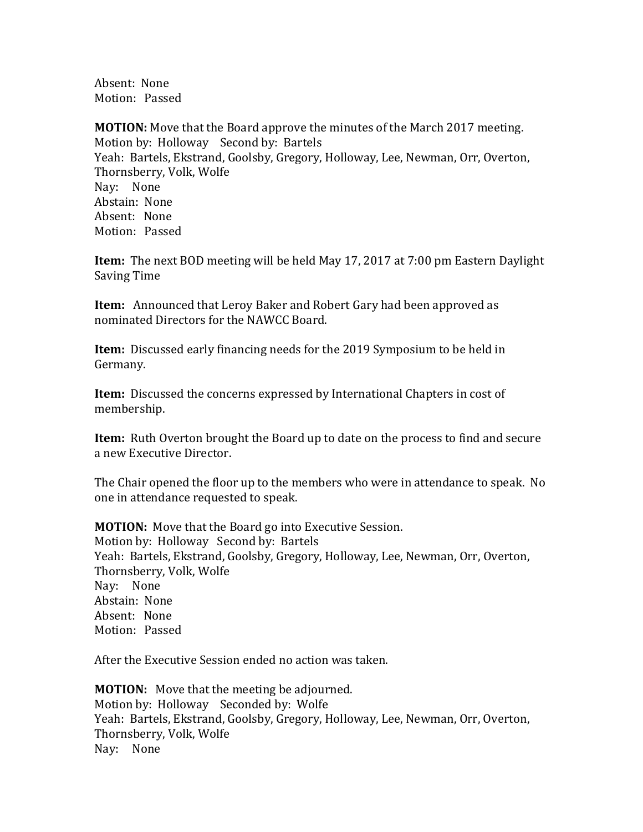Absent: None Motion: Passed

**MOTION:** Move that the Board approve the minutes of the March 2017 meeting. Motion by: Holloway Second by: Bartels Yeah: Bartels, Ekstrand, Goolsby, Gregory, Holloway, Lee, Newman, Orr, Overton, Thornsberry, Volk, Wolfe Nay: None Abstain: None Absent: None Motion: Passed

**Item:** The next BOD meeting will be held May 17, 2017 at 7:00 pm Eastern Daylight Saving Time

**Item:** Announced that Leroy Baker and Robert Gary had been approved as nominated Directors for the NAWCC Board.

**Item:** Discussed early financing needs for the 2019 Symposium to be held in Germany.

**Item:** Discussed the concerns expressed by International Chapters in cost of membership.

**Item:** Ruth Overton brought the Board up to date on the process to find and secure a new Executive Director.

The Chair opened the floor up to the members who were in attendance to speak. No one in attendance requested to speak.

**MOTION:** Move that the Board go into Executive Session. Motion by: Holloway Second by: Bartels Yeah: Bartels, Ekstrand, Goolsby, Gregory, Holloway, Lee, Newman, Orr, Overton, Thornsberry, Volk, Wolfe Nay: None Abstain: None Absent: None Motion: Passed

After the Executive Session ended no action was taken.

**MOTION:** Move that the meeting be adjourned. Motion by: Holloway Seconded by: Wolfe Yeah: Bartels, Ekstrand, Goolsby, Gregory, Holloway, Lee, Newman, Orr, Overton, Thornsberry, Volk, Wolfe Nay: None